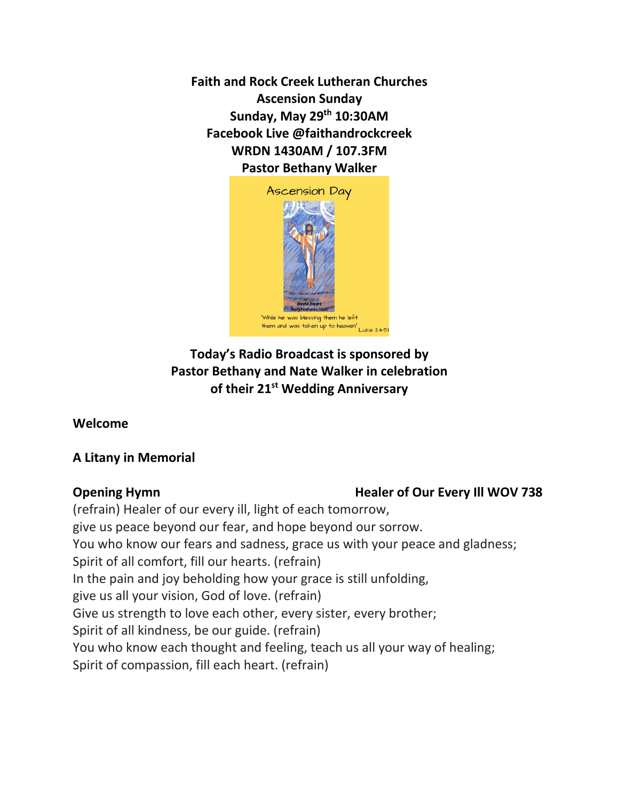**Faith and Rock Creek Lutheran Churches Ascension Sunday Sunday, May 29 th 10:30AM Facebook Live @faithandrockcreek WRDN 1430AM / 107.3FM Pastor Bethany Walker**



# **Today's Radio Broadcast is sponsored by Pastor Bethany and Nate Walker in celebration of their 21st Wedding Anniversary**

**Welcome** 

# **A Litany in Memorial**

## **Opening Hymn Healer of Our Every III WOV 738**

(refrain) Healer of our every ill, light of each tomorrow, give us peace beyond our fear, and hope beyond our sorrow. You who know our fears and sadness, grace us with your peace and gladness; Spirit of all comfort, fill our hearts. (refrain) In the pain and joy beholding how your grace is still unfolding, give us all your vision, God of love. (refrain) Give us strength to love each other, every sister, every brother; Spirit of all kindness, be our guide. (refrain) You who know each thought and feeling, teach us all your way of healing; Spirit of compassion, fill each heart. (refrain)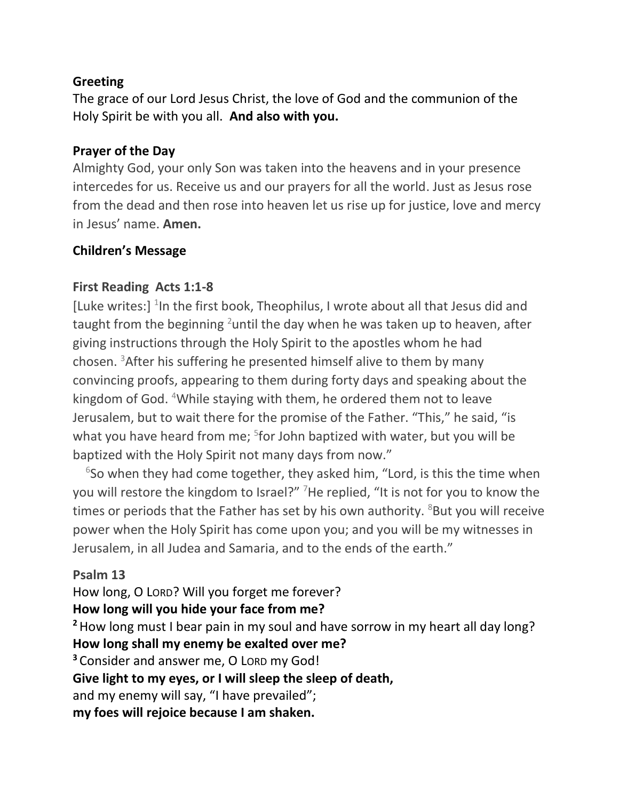# **Greeting**

The grace of our Lord Jesus Christ, the love of God and the communion of the Holy Spirit be with you all. **And also with you.** 

### **Prayer of the Day**

Almighty God, your only Son was taken into the heavens and in your presence intercedes for us. Receive us and our prayers for all the world. Just as Jesus rose from the dead and then rose into heaven let us rise up for justice, love and mercy in Jesus' name. **Amen.**

## **Children's Message**

# **First Reading Acts 1:1-8**

[Luke writes:]  $1$  In the first book, Theophilus, I wrote about all that Jesus did and taught from the beginning <sup>2</sup>until the day when he was taken up to heaven, after giving instructions through the Holy Spirit to the apostles whom he had chosen. <sup>3</sup>After his suffering he presented himself alive to them by many convincing proofs, appearing to them during forty days and speaking about the kingdom of God. <sup>4</sup>While staying with them, he ordered them not to leave Jerusalem, but to wait there for the promise of the Father. "This," he said, "is what you have heard from me; <sup>5</sup>for John baptized with water, but you will be baptized with the Holy Spirit not many days from now."

 $6$ So when they had come together, they asked him, "Lord, is this the time when you will restore the kingdom to Israel?" <sup>7</sup>He replied, "It is not for you to know the times or periods that the Father has set by his own authority.  $8$ But you will receive power when the Holy Spirit has come upon you; and you will be my witnesses in Jerusalem, in all Judea and Samaria, and to the ends of the earth."

## **Psalm 13**

How long, O LORD? Will you forget me forever? **How long will you hide your face from me? <sup>2</sup>**How long must I bear pain in my soul and have sorrow in my heart all day long? **How long shall my enemy be exalted over me? <sup>3</sup>** Consider and answer me, O LORD my God! **Give light to my eyes, or I will sleep the sleep of death,** and my enemy will say, "I have prevailed"; **my foes will rejoice because I am shaken.**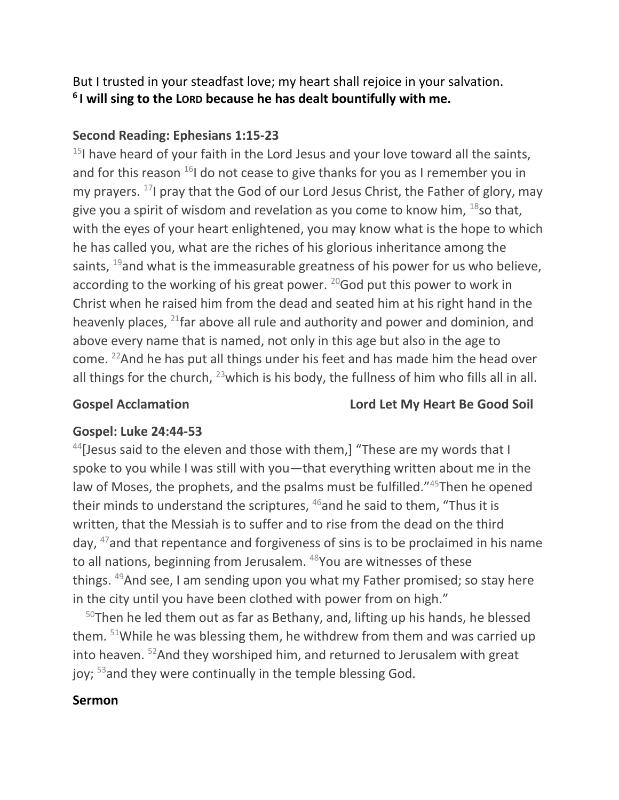But I trusted in your steadfast love; my heart shall rejoice in your salvation. **6 I will sing to the LORD because he has dealt bountifully with me.**

## **Second Reading: Ephesians 1:15-23**

 $15$ I have heard of your faith in the Lord Jesus and your love toward all the saints, and for this reason  $^{16}$ I do not cease to give thanks for you as I remember you in my prayers. <sup>17</sup>I pray that the God of our Lord Jesus Christ, the Father of glory, may give you a spirit of wisdom and revelation as you come to know him,  $^{18}$ so that, with the eyes of your heart enlightened, you may know what is the hope to which he has called you, what are the riches of his glorious inheritance among the saints,  $19$  and what is the immeasurable greatness of his power for us who believe, according to the working of his great power.  $20$  God put this power to work in Christ when he raised him from the dead and seated him at his right hand in the heavenly places,  $^{21}$  far above all rule and authority and power and dominion, and above every name that is named, not only in this age but also in the age to come. <sup>22</sup>And he has put all things under his feet and has made him the head over all things for the church,  $^{23}$  which is his body, the fullness of him who fills all in all.

## **Gospel Acclamation Lord Let My Heart Be Good Soil**

# **Gospel: Luke 24:44-53**

 $44$ [Jesus said to the eleven and those with them,] "These are my words that I spoke to you while I was still with you—that everything written about me in the law of Moses, the prophets, and the psalms must be fulfilled."<sup>45</sup>Then he opened their minds to understand the scriptures, <sup>46</sup>and he said to them, "Thus it is written, that the Messiah is to suffer and to rise from the dead on the third day, <sup>47</sup>and that repentance and forgiveness of sins is to be proclaimed in his name to all nations, beginning from Jerusalem. <sup>48</sup>You are witnesses of these things. <sup>49</sup>And see, I am sending upon you what my Father promised; so stay here in the city until you have been clothed with power from on high."

 $50$ Then he led them out as far as Bethany, and, lifting up his hands, he blessed them. <sup>51</sup>While he was blessing them, he withdrew from them and was carried up into heaven.  $52$ And they worshiped him, and returned to Jerusalem with great joy; <sup>53</sup>and they were continually in the temple blessing God.

## **Sermon**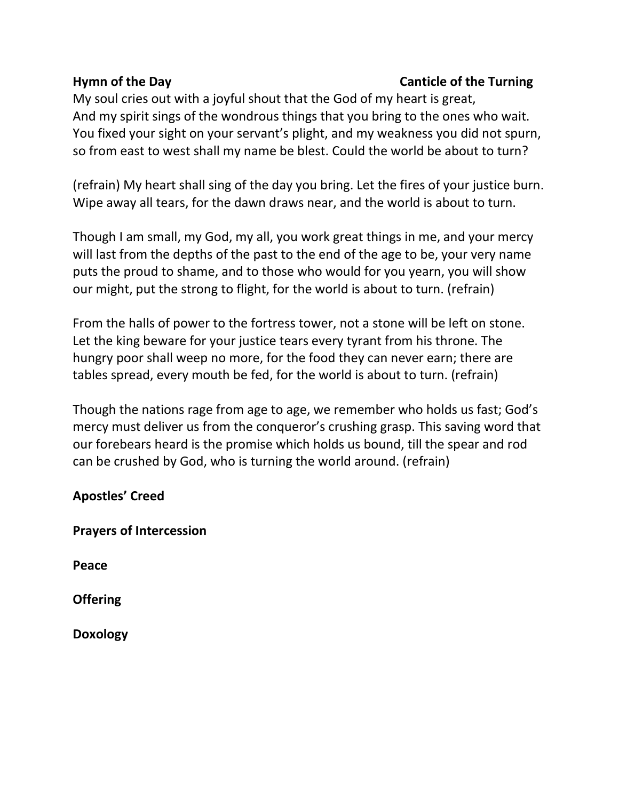# **Hymn of the Day Canticle of the Turning**

My soul cries out with a joyful shout that the God of my heart is great, And my spirit sings of the wondrous things that you bring to the ones who wait. You fixed your sight on your servant's plight, and my weakness you did not spurn, so from east to west shall my name be blest. Could the world be about to turn?

(refrain) My heart shall sing of the day you bring. Let the fires of your justice burn. Wipe away all tears, for the dawn draws near, and the world is about to turn.

Though I am small, my God, my all, you work great things in me, and your mercy will last from the depths of the past to the end of the age to be, your very name puts the proud to shame, and to those who would for you yearn, you will show our might, put the strong to flight, for the world is about to turn. (refrain)

From the halls of power to the fortress tower, not a stone will be left on stone. Let the king beware for your justice tears every tyrant from his throne. The hungry poor shall weep no more, for the food they can never earn; there are tables spread, every mouth be fed, for the world is about to turn. (refrain)

Though the nations rage from age to age, we remember who holds us fast; God's mercy must deliver us from the conqueror's crushing grasp. This saving word that our forebears heard is the promise which holds us bound, till the spear and rod can be crushed by God, who is turning the world around. (refrain)

| <b>Apostles' Creed</b> |  |
|------------------------|--|
|------------------------|--|

| <b>Prayers of Intercession</b> |
|--------------------------------|
|--------------------------------|

**Peace**

**Offering** 

**Doxology**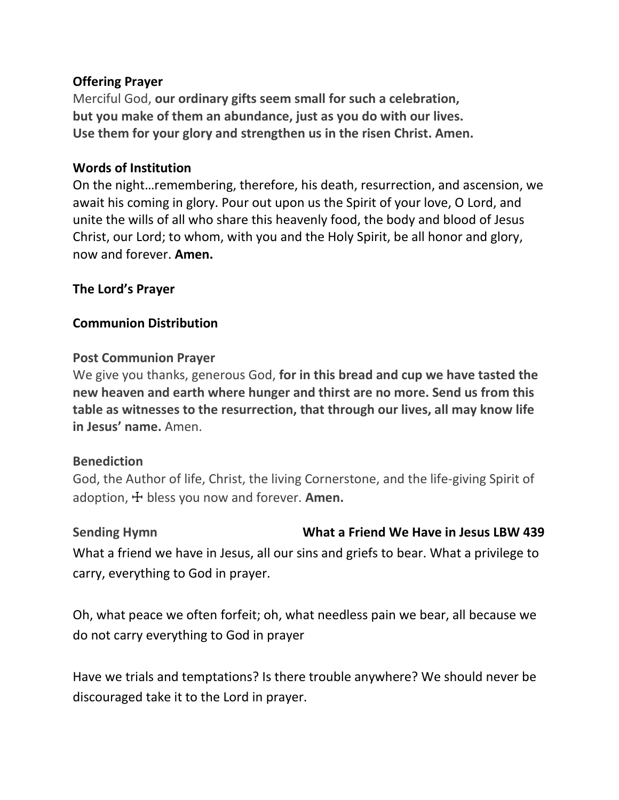### **Offering Prayer**

Merciful God, **our ordinary gifts seem small for such a celebration, but you make of them an abundance, just as you do with our lives. Use them for your glory and strengthen us in the risen Christ. Amen.**

### **Words of Institution**

On the night…remembering, therefore, his death, resurrection, and ascension, we await his coming in glory. Pour out upon us the Spirit of your love, O Lord, and unite the wills of all who share this heavenly food, the body and blood of Jesus Christ, our Lord; to whom, with you and the Holy Spirit, be all honor and glory, now and forever. **Amen.**

#### **The Lord's Prayer**

#### **Communion Distribution**

#### **Post Communion Prayer**

We give you thanks, generous God, **for in this bread and cup we have tasted the new heaven and earth where hunger and thirst are no more. Send us from this table as witnesses to the resurrection, that through our lives, all may know life in Jesus' name.** Amen.

#### **Benediction**

God, the Author of life, Christ, the living Cornerstone, and the life-giving Spirit of adoption, ☩ bless you now and forever. **Amen.**

#### **Sending Hymn What a Friend We Have in Jesus LBW 439**

What a friend we have in Jesus, all our sins and griefs to bear. What a privilege to carry, everything to God in prayer.

Oh, what peace we often forfeit; oh, what needless pain we bear, all because we do not carry everything to God in prayer

Have we trials and temptations? Is there trouble anywhere? We should never be discouraged take it to the Lord in prayer.